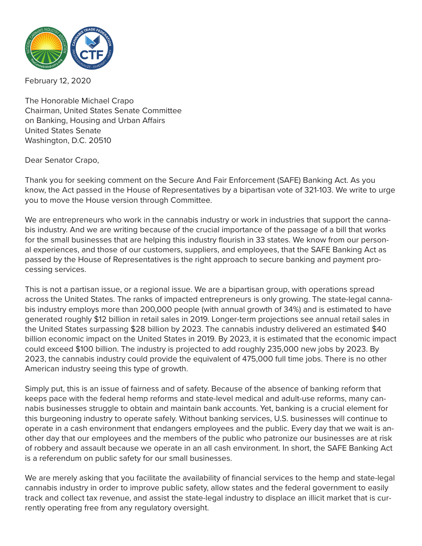

February 12, 2020

The Honorable Michael Crapo Chairman, United States Senate Committee on Banking, Housing and Urban Affairs United States Senate Washington, D.C. 20510

Dear Senator Crapo,

Thank you for seeking comment on the Secure And Fair Enforcement (SAFE) Banking Act. As you know, the Act passed in the House of Representatives by a bipartisan vote of 321-103. We write to urge you to move the House version through Committee.

We are entrepreneurs who work in the cannabis industry or work in industries that support the cannabis industry. And we are writing because of the crucial importance of the passage of a bill that works for the small businesses that are helping this industry flourish in 33 states. We know from our personal experiences, and those of our customers, suppliers, and employees, that the SAFE Banking Act as passed by the House of Representatives is the right approach to secure banking and payment processing services.

This is not a partisan issue, or a regional issue. We are a bipartisan group, with operations spread across the United States. The ranks of impacted entrepreneurs is only growing. The state-legal cannabis industry employs more than 200,000 people (with annual growth of 34%) and is estimated to have generated roughly \$12 billion in retail sales in 2019. Longer-term projections see annual retail sales in the United States surpassing \$28 billion by 2023. The cannabis industry delivered an estimated \$40 billion economic impact on the United States in 2019. By 2023, it is estimated that the economic impact could exceed \$100 billion. The industry is projected to add roughly 235,000 new jobs by 2023. By 2023, the cannabis industry could provide the equivalent of 475,000 full time jobs. There is no other American industry seeing this type of growth.

Simply put, this is an issue of fairness and of safety. Because of the absence of banking reform that keeps pace with the federal hemp reforms and state-level medical and adult-use reforms, many cannabis businesses struggle to obtain and maintain bank accounts. Yet, banking is a crucial element for this burgeoning industry to operate safely. Without banking services, U.S. businesses will continue to operate in a cash environment that endangers employees and the public. Every day that we wait is another day that our employees and the members of the public who patronize our businesses are at risk of robbery and assault because we operate in an all cash environment. In short, the SAFE Banking Act is a referendum on public safety for our small businesses.

We are merely asking that you facilitate the availability of financial services to the hemp and state-legal cannabis industry in order to improve public safety, allow states and the federal government to easily track and collect tax revenue, and assist the state-legal industry to displace an illicit market that is currently operating free from any regulatory oversight.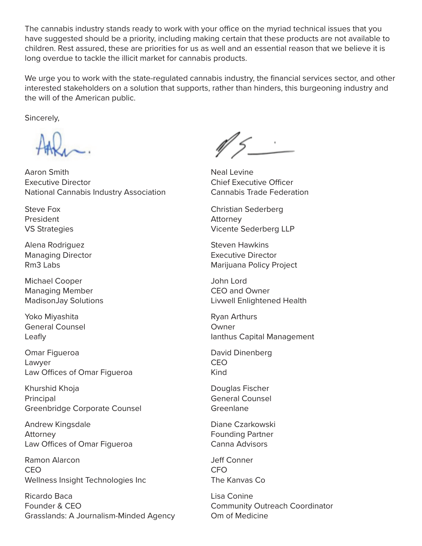The cannabis industry stands ready to work with your office on the myriad technical issues that you have suggested should be a priority, including making certain that these products are not available to children. Rest assured, these are priorities for us as well and an essential reason that we believe it is long overdue to tackle the illicit market for cannabis products.

We urge you to work with the state-regulated cannabis industry, the financial services sector, and other interested stakeholders on a solution that supports, rather than hinders, this burgeoning industry and the will of the American public.

Sincerely,

Aaron Smith Executive Director National Cannabis Industry Association

Steve Fox President VS Strategies

Alena Rodriguez Managing Director Rm3 Labs

Michael Cooper Managing Member MadisonJay Solutions

Yoko Miyashita General Counsel Leafly

Omar Figueroa Lawyer Law Offices of Omar Figueroa

Khurshid Khoja Principal Greenbridge Corporate Counsel

Andrew Kingsdale Attorney Law Offices of Omar Figueroa

Ramon Alarcon CEO Wellness Insight Technologies Inc

Ricardo Baca Founder & CEO Grasslands: A Journalism-Minded Agency

 $\mathbb{N}$   $\leq$ 

Neal Levine Chief Executive Officer Cannabis Trade Federation

Christian Sederberg Attorney Vicente Sederberg LLP

Steven Hawkins Executive Director Marijuana Policy Project

John Lord CEO and Owner Livwell Enlightened Health

Ryan Arthurs Owner Ianthus Capital Management

David Dinenberg CEO Kind

Douglas Fischer General Counsel Greenlane

Diane Czarkowski Founding Partner Canna Advisors

Jeff Conner CFO The Kanvas Co

Lisa Conine Community Outreach Coordinator Om of Medicine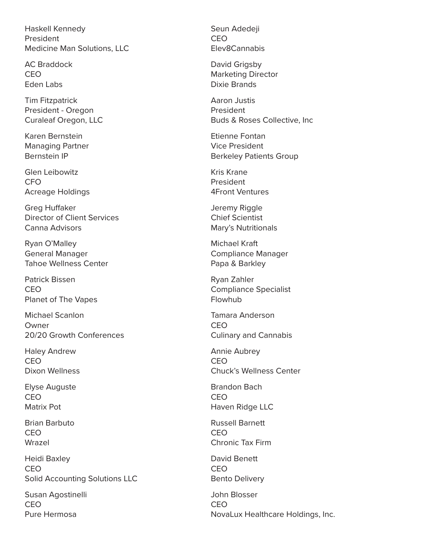Haskell Kennedy President Medicine Man Solutions, LLC

AC Braddock CEO Eden Labs

Tim Fitzpatrick President - Oregon Curaleaf Oregon, LLC

Karen Bernstein Managing Partner Bernstein IP

Glen Leibowitz CFO Acreage Holdings

Greg Huffaker Director of Client Services Canna Advisors

Ryan O'Malley General Manager Tahoe Wellness Center

Patrick Bissen CEO Planet of The Vapes

Michael Scanlon Owner 20/20 Growth Conferences

Haley Andrew CEO Dixon Wellness

Elyse Auguste CEO Matrix Pot

Brian Barbuto CEO Wrazel

Heidi Baxley CEO Solid Accounting Solutions LLC

Susan Agostinelli CEO Pure Hermosa

Seun Adedeji CEO Elev8Cannabis

David Grigsby Marketing Director Dixie Brands

Aaron Justis President Buds & Roses Collective, Inc

Etienne Fontan Vice President Berkeley Patients Group

Kris Krane President 4Front Ventures

Jeremy Riggle Chief Scientist Mary's Nutritionals

Michael Kraft Compliance Manager Papa & Barkley

Ryan Zahler Compliance Specialist **Flowhuh** 

Tamara Anderson CEO Culinary and Cannabis

Annie Aubrey CEO Chuck's Wellness Center

Brandon Bach CEO Haven Ridge LLC

Russell Barnett CEO Chronic Tax Firm

David Benett CEO Bento Delivery

John Blosser CEO NovaLux Healthcare Holdings, Inc.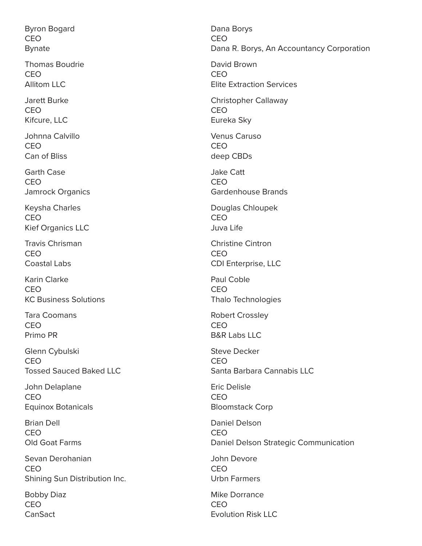Byron Bogard CEO Bynate

Thomas Boudrie CEO Allitom LLC

Jarett Burke CEO Kifcure, LLC

Johnna Calvillo CEO Can of Bliss

Garth Case CEO Jamrock Organics

Keysha Charles CEO Kief Organics LLC

Travis Chrisman CEO Coastal Labs

Karin Clarke CEO KC Business Solutions

Tara Coomans CEO Primo PR

Glenn Cybulski CEO Tossed Sauced Baked LLC

John Delaplane CEO Equinox Botanicals

Brian Dell CEO Old Goat Farms

Sevan Derohanian CEO Shining Sun Distribution Inc.

Bobby Diaz CEO **CanSact** 

Dana Borys CEO Dana R. Borys, An Accountancy Corporation David Brown CEO Elite Extraction Services Christopher Callaway CEO Eureka Sky Venus Caruso CEO deep CBDs Jake Catt CEO Gardenhouse Brands Douglas Chloupek CEO Juva Life Christine Cintron CEO CDI Enterprise, LLC Paul Coble CEO Thalo Technologies Robert Crossley CEO B&R Labs LLC Steve Decker CEO Santa Barbara Cannabis LLC Eric Delisle CEO Bloomstack Corp Daniel Delson CEO Daniel Delson Strategic Communication John Devore CEO Urbn Farmers Mike Dorrance CEO Evolution Risk LLC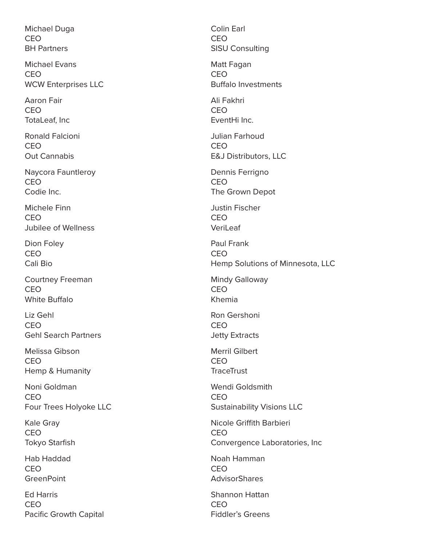Michael Duga CEO BH Partners

Michael Evans CEO WCW Enterprises LLC

Aaron Fair CEO TotaLeaf, Inc

Ronald Falcioni CEO Out Cannabis

Naycora Fauntleroy CEO Codie Inc.

Michele Finn CEO Jubilee of Wellness

Dion Foley CEO Cali Bio

Courtney Freeman CEO White Buffalo

Liz Gehl CEO Gehl Search Partners

Melissa Gibson CEO Hemp & Humanity

Noni Goldman CEO Four Trees Holyoke LLC

Kale Gray CEO Tokyo Starfish

Hab Haddad CEO **GreenPoint** 

Ed Harris CEO Pacific Growth Capital Colin Earl CEO SISU Consulting Matt Fagan CEO Buffalo Investments Ali Fakhri CEO EventHi Inc. Julian Farhoud CEO E&J Distributors, LLC Dennis Ferrigno CEO The Grown Depot Justin Fischer CEO VeriLeaf Paul Frank CEO Hemp Solutions of Minnesota, LLC Mindy Galloway CEO Khemia Ron Gershoni CEO Jetty Extracts Merril Gilbert CEO **TraceTrust** Wendi Goldsmith CEO Sustainability Visions LLC Nicole Griffith Barbieri CEO Convergence Laboratories, Inc Noah Hamman CEO **AdvisorShares** Shannon Hattan CEO Fiddler's Greens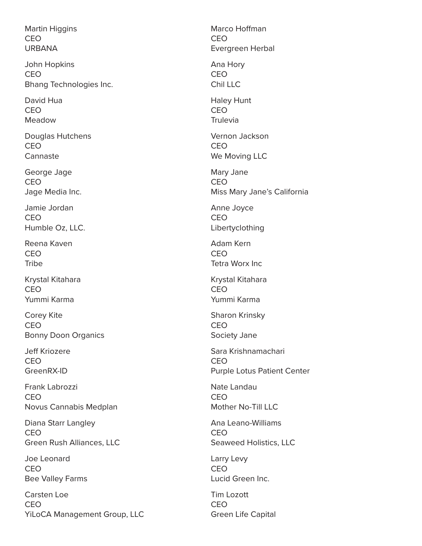Martin Higgins CEO URBANA

John Hopkins CEO Bhang Technologies Inc.

David Hua CEO Meadow

Douglas Hutchens CEO Cannaste

George Jage **CEO** Jage Media Inc.

Jamie Jordan CEO Humble Oz, LLC.

Reena Kaven CEO **Tribe** 

Krystal Kitahara CEO Yummi Karma

Corey Kite CEO Bonny Doon Organics

Jeff Kriozere CEO GreenRX-ID

Frank Labrozzi CEO Novus Cannabis Medplan

Diana Starr Langley CEO Green Rush Alliances, LLC

Joe Leonard CEO Bee Valley Farms

Carsten Loe CEO YiLoCA Management Group, LLC

Marco Hoffman CEO Evergreen Herbal Ana Hory CEO Chil LLC Haley Hunt CEO Trulevia Vernon Jackson CEO We Moving LLC Mary Jane CEO Miss Mary Jane's California Anne Joyce CEO Libertyclothing Adam Kern CEO Tetra Worx Inc Krystal Kitahara CEO Yummi Karma Sharon Krinsky CEO Society Jane Sara Krishnamachari CEO Purple Lotus Patient Center Nate Landau CEO Mother No-Till LLC Ana Leano-Williams CEO Seaweed Holistics, LLC Larry Levy CEO Lucid Green Inc. Tim Lozott CEO Green Life Capital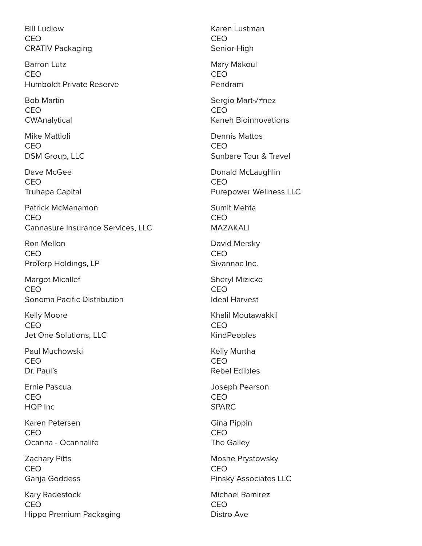Bill Ludlow CEO CRATIV Packaging

Barron Lutz CEO Humboldt Private Reserve

Bob Martin CEO **CWAnalytical** 

Mike Mattioli CEO DSM Group, LLC

Dave McGee CEO Truhapa Capital

Patrick McManamon CEO Cannasure Insurance Services, LLC

Ron Mellon CEO ProTerp Holdings, LP

Margot Micallef CEO Sonoma Pacific Distribution

Kelly Moore CEO Jet One Solutions, LLC

Paul Muchowski CEO Dr. Paul's

Ernie Pascua CEO HQP Inc

Karen Petersen CEO Ocanna - Ocannalife

Zachary Pitts CEO Ganja Goddess

Kary Radestock CEO Hippo Premium Packaging

Karen Lustman CEO Senior-High Mary Makoul CEO Pendram Sergio Martínez CEO Kaneh Bioinnovations Dennis Mattos CEO Sunbare Tour & Travel Donald McLaughlin CEO Purepower Wellness LLC Sumit Mehta CEO MAZAKALI David Mersky CEO Sivannac Inc. Sheryl Mizicko CEO Ideal Harvest Khalil Moutawakkil CEO KindPeoples Kelly Murtha CEO Rebel Edibles Joseph Pearson CEO SPARC Gina Pippin CEO The Galley Moshe Prystowsky CEO Pinsky Associates LLC Michael Ramirez CEO

Distro Ave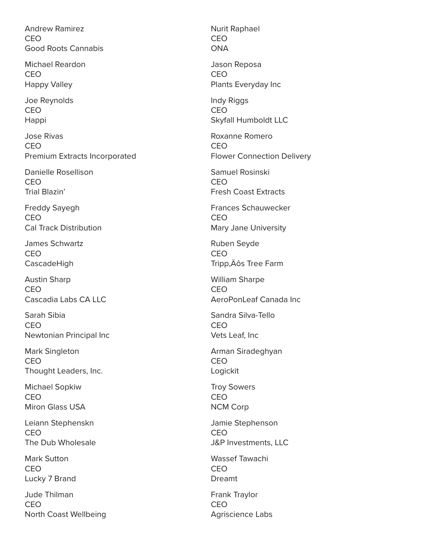Andrew Ramirez CEO Good Roots Cannabis

Michael Reardon CEO Happy Valley

Joe Reynolds CEO Happi

Jose Rivas CEO Premium Extracts Incorporated

Danielle Rosellison CEO Trial Blazin'

Freddy Sayegh CEO Cal Track Distribution

James Schwartz CEO CascadeHigh

Austin Sharp CEO Cascadia Labs CA LLC

Sarah Sibia CEO Newtonian Principal Inc

Mark Singleton CEO Thought Leaders, Inc.

Michael Sopkiw CEO Miron Glass USA

Leiann Stephenskn CEO The Dub Wholesale

Mark Sutton CEO Lucky 7 Brand

Jude Thilman CEO North Coast Wellbeing

Nurit Raphael CEO **ONA** Jason Reposa CEO Plants Everyday Inc Indy Riggs CEO Skyfall Humboldt LLC Roxanne Romero CEO Flower Connection Delivery Samuel Rosinski CEO Fresh Coast Extracts Frances Schauwecker CEO Mary Jane University Ruben Seyde CEO Tripp, Äôs Tree Farm William Sharpe CEO AeroPonLeaf Canada Inc Sandra Silva-Tello CEO Vets Leaf, Inc Arman Siradeghyan CEO Logickit Troy Sowers CEO NCM Corp Jamie Stephenson CEO J&P Investments, LLC Wassef Tawachi CEO Dreamt Frank Traylor CEO Agriscience Labs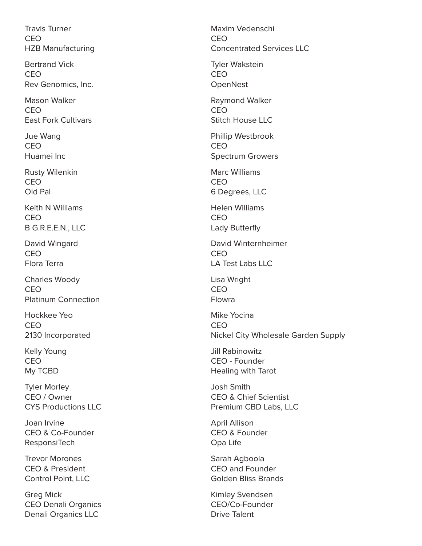Travis Turner CEO HZB Manufacturing

Bertrand Vick CEO Rev Genomics, Inc.

Mason Walker CEO East Fork Cultivars

Jue Wang CEO Huamei Inc

Rusty Wilenkin CEO Old Pal

Keith N Williams CEO B G.R.E.E.N., LLC

David Wingard CEO Flora Terra

Charles Woody CEO Platinum Connection

Hockkee Yeo CEO 2130 Incorporated

Kelly Young CEO My TCBD

Tyler Morley CEO / Owner CYS Productions LLC

Joan Irvine CEO & Co-Founder **ResponsiTech** 

Trevor Morones CEO & President Control Point, LLC

Greg Mick CEO Denali Organics Denali Organics LLC

Maxim Vedenschi CEO Concentrated Services LLC Tyler Wakstein CEO **OpenNest** Raymond Walker CEO Stitch House LLC Phillip Westbrook CEO Spectrum Growers Marc Williams CEO 6 Degrees, LLC Helen Williams CEO Lady Butterfly David Winternheimer CEO LA Test Labs LLC Lisa Wright CEO Flowra Mike Yocina CEO Nickel City Wholesale Garden Supply Jill Rabinowitz CEO - Founder Healing with Tarot Josh Smith CEO & Chief Scientist Premium CBD Labs, LLC April Allison CEO & Founder Opa Life Sarah Agboola CEO and Founder Golden Bliss Brands Kimley Svendsen CEO/Co-Founder

Drive Talent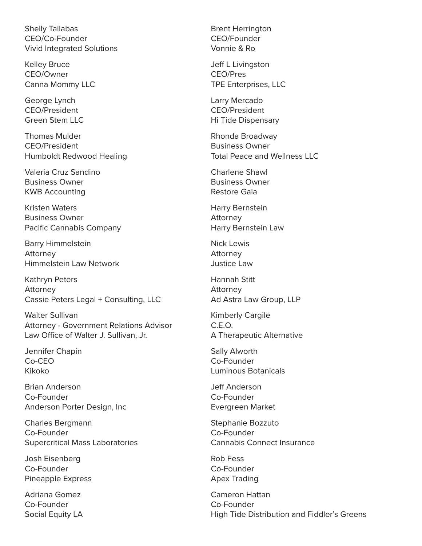Shelly Tallabas CEO/Co-Founder Vivid Integrated Solutions

Kelley Bruce CEO/Owner Canna Mommy LLC

George Lynch CEO/President Green Stem LLC

Thomas Mulder CEO/President Humboldt Redwood Healing

Valeria Cruz Sandino Business Owner KWB Accounting

Kristen Waters Business Owner Pacific Cannabis Company

Barry Himmelstein Attorney Himmelstein Law Network

Kathryn Peters Attorney Cassie Peters Legal + Consulting, LLC

Walter Sullivan Attorney - Government Relations Advisor Law Office of Walter J. Sullivan, Jr.

Jennifer Chapin Co-CEO Kikoko

Brian Anderson Co-Founder Anderson Porter Design, Inc

Charles Bergmann Co-Founder Supercritical Mass Laboratories

Josh Eisenberg Co-Founder Pineapple Express

Adriana Gomez Co-Founder Social Equity LA Brent Herrington CEO/Founder Vonnie & Ro

Jeff L Livingston CEO/Pres TPE Enterprises, LLC

Larry Mercado CEO/President Hi Tide Dispensary

Rhonda Broadway Business Owner Total Peace and Wellness LLC

Charlene Shawl Business Owner Restore Gaia

Harry Bernstein Attorney Harry Bernstein Law

Nick Lewis Attorney Justice Law

Hannah Stitt Attorney Ad Astra Law Group, LLP

Kimberly Cargile C.E.O. A Therapeutic Alternative

Sally Alworth Co-Founder Luminous Botanicals

Jeff Anderson Co-Founder Evergreen Market

Stephanie Bozzuto Co-Founder Cannabis Connect Insurance

Rob Fess Co-Founder Apex Trading

Cameron Hattan Co-Founder High Tide Distribution and Fiddler's Greens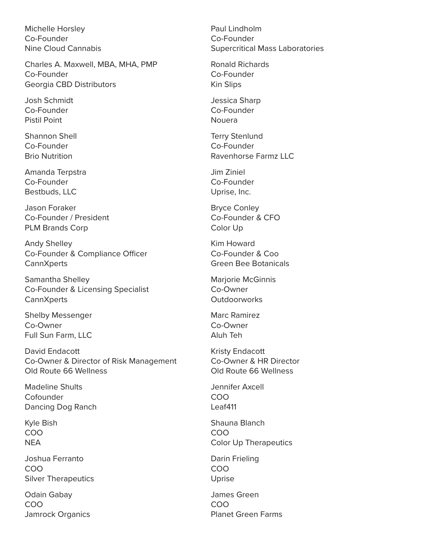Michelle Horsley Co-Founder Nine Cloud Cannabis

Charles A. Maxwell, MBA, MHA, PMP Co-Founder Georgia CBD Distributors

Josh Schmidt Co-Founder Pistil Point

Shannon Shell Co-Founder Brio Nutrition

Amanda Terpstra Co-Founder Bestbuds, LLC

Jason Foraker Co-Founder / President PLM Brands Corp

Andy Shelley Co-Founder & Compliance Officer **Cann**Xperts

Samantha Shelley Co-Founder & Licensing Specialist **CannXperts** 

Shelby Messenger Co-Owner Full Sun Farm, LLC

David Endacott Co-Owner & Director of Risk Management Old Route 66 Wellness

Madeline Shults Cofounder Dancing Dog Ranch

Kyle Bish COO NEA

Joshua Ferranto COO Silver Therapeutics

Odain Gabay COO Jamrock Organics Paul Lindholm Co-Founder Supercritical Mass Laboratories

Ronald Richards Co-Founder Kin Slips

Jessica Sharp Co-Founder Nouera

Terry Stenlund Co-Founder Ravenhorse Farmz LLC

Jim Ziniel Co-Founder Uprise, Inc.

Bryce Conley Co-Founder & CFO Color Up

Kim Howard Co-Founder & Coo Green Bee Botanicals

Marjorie McGinnis Co-Owner **Outdoorworks** 

Marc Ramirez Co-Owner Aluh Teh

Kristy Endacott Co-Owner & HR Director Old Route 66 Wellness

Jennifer Axcell COO Leaf411

Shauna Blanch COO Color Up Therapeutics

Darin Frieling COO Uprise

James Green COO Planet Green Farms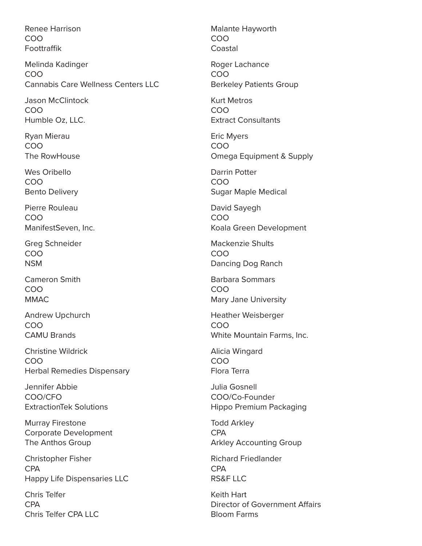Renee Harrison COO Foottraffik

Melinda Kadinger COO Cannabis Care Wellness Centers LLC

Jason McClintock COO Humble Oz, LLC.

Ryan Mierau COO The RowHouse

Wes Oribello COO Bento Delivery

Pierre Rouleau COO ManifestSeven, Inc.

Greg Schneider COO NSM

Cameron Smith COO MMAC

Andrew Upchurch COO CAMU Brands

Christine Wildrick COO Herbal Remedies Dispensary

Jennifer Abbie COO/CFO ExtractionTek Solutions

Murray Firestone Corporate Development The Anthos Group

Christopher Fisher CPA Happy Life Dispensaries LLC

Chris Telfer CPA Chris Telfer CPA LLC Malante Hayworth COO Coastal

Roger Lachance COO Berkeley Patients Group

Kurt Metros COO Extract Consultants

Eric Myers COO Omega Equipment & Supply

Darrin Potter COO Sugar Maple Medical

David Sayegh COO Koala Green Development

Mackenzie Shults COO Dancing Dog Ranch

Barbara Sommars COO Mary Jane University

Heather Weisberger COO White Mountain Farms, Inc.

Alicia Wingard COO Flora Terra

Julia Gosnell COO/Co-Founder Hippo Premium Packaging

Todd Arkley CPA Arkley Accounting Group

Richard Friedlander CPA RS&F LLC

Keith Hart Director of Government Affairs Bloom Farms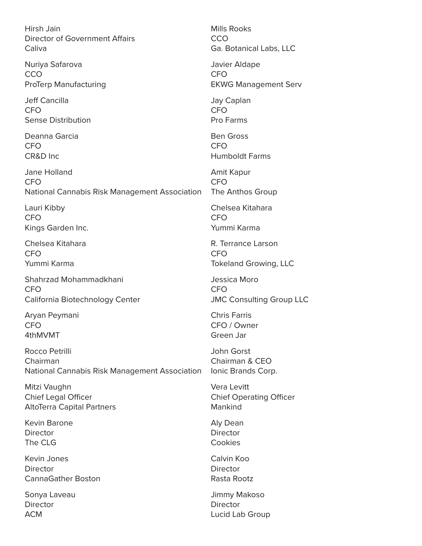Hirsh Jain Director of Government Affairs Caliva

Nuriya Safarova CCO ProTerp Manufacturing

Jeff Cancilla CFO Sense Distribution

Deanna Garcia CFO CR&D Inc

Jane Holland CFO National Cannabis Risk Management Association

Lauri Kibby CFO Kings Garden Inc.

Chelsea Kitahara CFO Yummi Karma

Shahrzad Mohammadkhani CFO California Biotechnology Center

Aryan Peymani CFO 4thMVMT

Rocco Petrilli Chairman National Cannabis Risk Management Association

Mitzi Vaughn Chief Legal Officer AltoTerra Capital Partners

Kevin Barone Director The CLG

Kevin Jones **Director** CannaGather Boston

Sonya Laveau Director ACM

Mills Rooks **CCO** Ga. Botanical Labs, LLC Javier Aldape CFO EKWG Management Serv Jay Caplan CFO Pro Farms Ben Gross CFO Humboldt Farms Amit Kapur CFO The Anthos Group Chelsea Kitahara CFO Yummi Karma R. Terrance Larson CFO Tokeland Growing, LLC Jessica Moro CFO JMC Consulting Group LLC Chris Farris CFO / Owner Green Jar John Gorst Chairman & CEO Ionic Brands Corp. Vera Levitt Chief Operating Officer Mankind Aly Dean Director Cookies Calvin Koo **Director** Rasta Rootz Jimmy Makoso **Director** 

Lucid Lab Group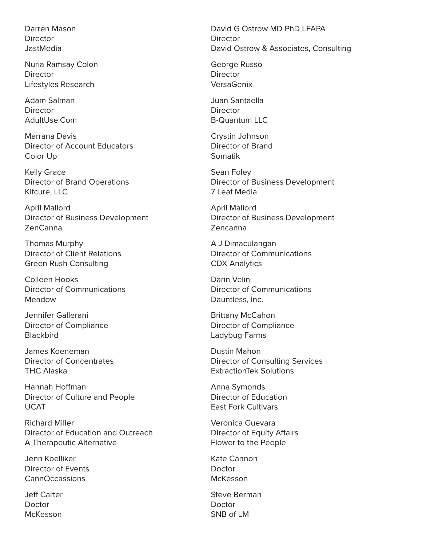Darren Mason **Director JastMedia** 

Nuria Ramsay Colon **Director** Lifestyles Research

Adam Salman **Director** AdultUse.Com

Marrana Davis Director of Account Educators Color Up

Kelly Grace Director of Brand Operations Kifcure, LLC

April Mallord Director of Business Development ZenCanna

Thomas Murphy Director of Client Relations Green Rush Consulting

Colleen Hooks Director of Communications Meadow

Jennifer Gallerani Director of Compliance **Blackbird** 

James Koeneman Director of Concentrates THC Alaska

Hannah Hoffman Director of Culture and People UCAT

Richard Miller Director of Education and Outreach A Therapeutic Alternative

Jenn Koelliker Director of Events CannOccassions

Jeff Carter Doctor McKesson

David G Ostrow MD PhD LFAPA Director David Ostrow & Associates, Consulting

George Russo **Director** VersaGenix

Juan Santaella Director B-Quantum LLC

Crystin Johnson Director of Brand Somatik

Sean Foley Director of Business Development 7 Leaf Media

April Mallord Director of Business Development Zencanna

A J Dimaculangan Director of Communications CDX Analytics

Darin Velin Director of Communications Dauntless, Inc.

Brittany McCahon Director of Compliance Ladybug Farms

Dustin Mahon Director of Consulting Services ExtractionTek Solutions

Anna Symonds Director of Education East Fork Cultivars

Veronica Guevara Director of Equity Affairs Flower to the People

Kate Cannon **Doctor** McKesson

Steve Berman Doctor SNB of LM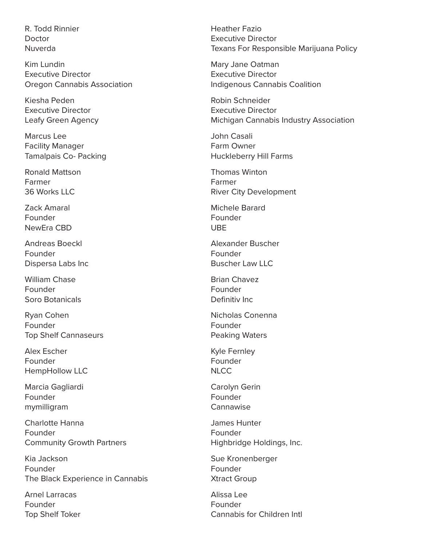R. Todd Rinnier Doctor Nuverda

Kim Lundin Executive Director Oregon Cannabis Association

Kiesha Peden Executive Director Leafy Green Agency

Marcus Lee Facility Manager Tamalpais Co- Packing

Ronald Mattson Farmer 36 Works LLC

Zack Amaral Founder NewEra CBD

Andreas Boeckl Founder Dispersa Labs Inc

William Chase Founder Soro Botanicals

Ryan Cohen Founder Top Shelf Cannaseurs

Alex Escher Founder HempHollow LLC

Marcia Gagliardi Founder mymilligram

Charlotte Hanna Founder Community Growth Partners

Kia Jackson Founder The Black Experience in Cannabis

Arnel Larracas Founder Top Shelf Toker Heather Fazio Executive Director Texans For Responsible Marijuana Policy

Mary Jane Oatman Executive Director Indigenous Cannabis Coalition

Robin Schneider Executive Director Michigan Cannabis Industry Association

John Casali Farm Owner Huckleberry Hill Farms

Thomas Winton Farmer River City Development

Michele Barard Founder UBE

Alexander Buscher Founder Buscher Law LLC

Brian Chavez Founder Definitiv Inc

Nicholas Conenna Founder Peaking Waters

Kyle Fernley Founder **NLCC** 

Carolyn Gerin Founder Cannawise

James Hunter Founder Highbridge Holdings, Inc.

Sue Kronenberger Founder Xtract Group

Alissa Lee Founder Cannabis for Children Intl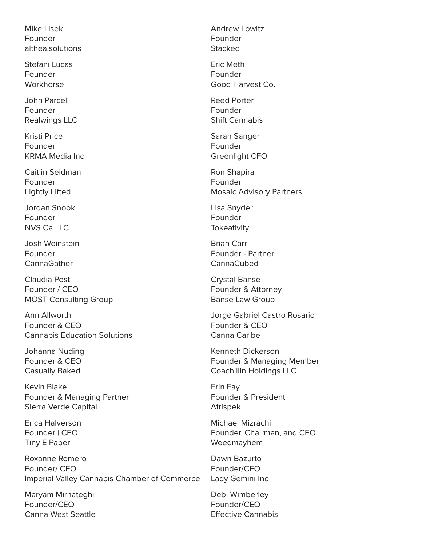Mike Lisek Founder althea.solutions

Stefani Lucas Founder Workhorse

John Parcell Founder Realwings LLC

Kristi Price Founder KRMA Media Inc

Caitlin Seidman Founder Lightly Lifted

Jordan Snook Founder NVS Ca LLC

Josh Weinstein Founder **CannaGather** 

Claudia Post Founder / CEO MOST Consulting Group

Ann Allworth Founder & CEO Cannabis Education Solutions

Johanna Nuding Founder & CEO Casually Baked

Kevin Blake Founder & Managing Partner Sierra Verde Capital

Erica Halverson Founder | CEO Tiny E Paper

Roxanne Romero Founder/ CEO Imperial Valley Cannabis Chamber of Commerce

Maryam Mirnateghi Founder/CEO Canna West Seattle Andrew Lowitz Founder **Stacked** 

Eric Meth Founder Good Harvest Co.

Reed Porter Founder Shift Cannabis

Sarah Sanger Founder Greenlight CFO

Ron Shapira Founder Mosaic Advisory Partners

Lisa Snyder Founder **Tokeativity** 

Brian Carr Founder - Partner CannaCubed

Crystal Banse Founder & Attorney Banse Law Group

Jorge Gabriel Castro Rosario Founder & CEO Canna Caribe

Kenneth Dickerson Founder & Managing Member Coachillin Holdings LLC

Erin Fay Founder & President Atrispek

Michael Mizrachi Founder, Chairman, and CEO Weedmayhem

Dawn Bazurto Founder/CEO Lady Gemini Inc

Debi Wimberley Founder/CEO Effective Cannabis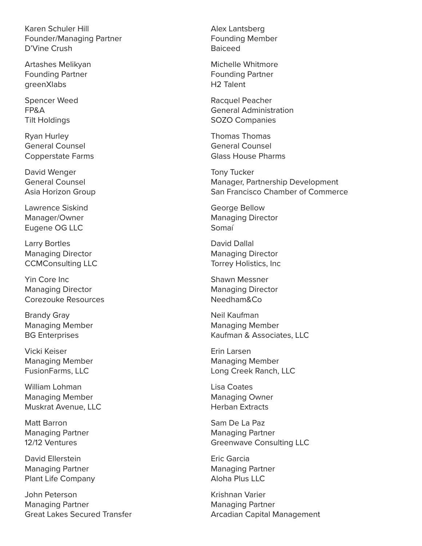Karen Schuler Hill Founder/Managing Partner D'Vine Crush

Artashes Melikyan Founding Partner greenXlabs

Spencer Weed FP&A Tilt Holdings

Ryan Hurley General Counsel Copperstate Farms

David Wenger General Counsel Asia Horizon Group

Lawrence Siskind Manager/Owner Eugene OG LLC

Larry Bortles Managing Director CCMConsulting LLC

Yin Core Inc Managing Director Corezouke Resources

Brandy Gray Managing Member BG Enterprises

Vicki Keiser Managing Member FusionFarms, LLC

William Lohman Managing Member Muskrat Avenue, LLC

Matt Barron Managing Partner 12/12 Ventures

David Ellerstein Managing Partner Plant Life Company

John Peterson Managing Partner Great Lakes Secured Transfer Alex Lantsberg Founding Member Baiceed

Michelle Whitmore Founding Partner H2 Talent

Racquel Peacher General Administration SOZO Companies

Thomas Thomas General Counsel Glass House Pharms

Tony Tucker Manager, Partnership Development San Francisco Chamber of Commerce

George Bellow Managing Director Somaí

David Dallal Managing Director Torrey Holistics, Inc

Shawn Messner Managing Director Needham&Co

Neil Kaufman Managing Member Kaufman & Associates, LLC

Erin Larsen Managing Member Long Creek Ranch, LLC

Lisa Coates Managing Owner Herban Extracts

Sam De La Paz Managing Partner Greenwave Consulting LLC

Eric Garcia Managing Partner Aloha Plus LLC

Krishnan Varier Managing Partner Arcadian Capital Management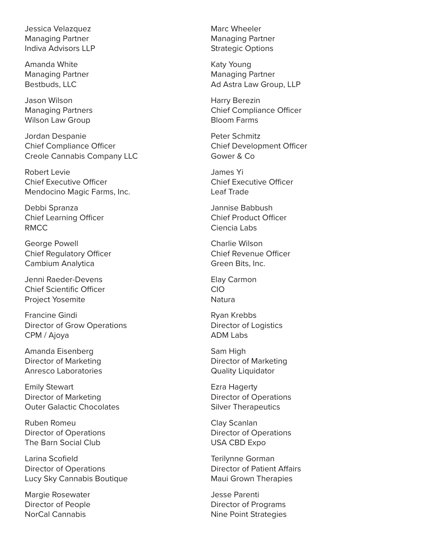Jessica Velazquez Managing Partner Indiva Advisors LLP

Amanda White Managing Partner Bestbuds, LLC

Jason Wilson Managing Partners Wilson Law Group

Jordan Despanie Chief Compliance Officer Creole Cannabis Company LLC

Robert Levie Chief Executive Officer Mendocino Magic Farms, Inc.

Debbi Spranza Chief Learning Officer RMCC

George Powell Chief Regulatory Officer Cambium Analytica

Jenni Raeder-Devens Chief Scientific Officer Project Yosemite

Francine Gindi Director of Grow Operations CPM / Ajoya

Amanda Eisenberg Director of Marketing Anresco Laboratories

Emily Stewart Director of Marketing Outer Galactic Chocolates

Ruben Romeu Director of Operations The Barn Social Club

Larina Scofield Director of Operations Lucy Sky Cannabis Boutique

Margie Rosewater Director of People NorCal Cannabis

Marc Wheeler Managing Partner Strategic Options

Katy Young Managing Partner Ad Astra Law Group, LLP

Harry Berezin Chief Compliance Officer Bloom Farms

Peter Schmitz Chief Development Officer Gower & Co

James Yi Chief Executive Officer Leaf Trade

Jannise Babbush Chief Product Officer Ciencia Labs

Charlie Wilson Chief Revenue Officer Green Bits, Inc.

Elay Carmon CIO **Natura** 

Ryan Krebbs Director of Logistics ADM Labs

Sam High Director of Marketing Quality Liquidator

Ezra Hagerty Director of Operations Silver Therapeutics

Clay Scanlan Director of Operations USA CBD Expo

Terilynne Gorman Director of Patient Affairs Maui Grown Therapies

Jesse Parenti Director of Programs Nine Point Strategies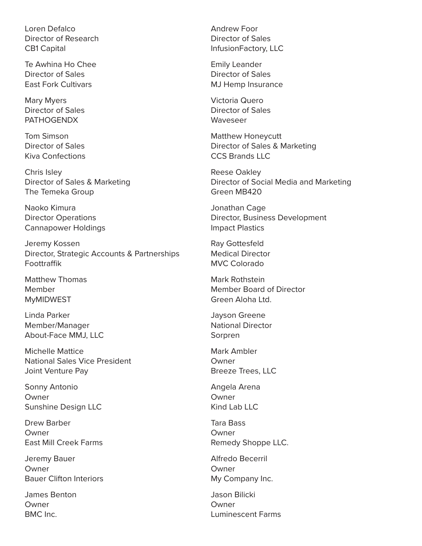Loren Defalco Director of Research CB1 Capital

Te Awhina Ho Chee Director of Sales East Fork Cultivars

Mary Myers Director of Sales PATHOGENDX

Tom Simson Director of Sales Kiva Confections

Chris Isley Director of Sales & Marketing The Temeka Group

Naoko Kimura Director Operations Cannapower Holdings

Jeremy Kossen Director, Strategic Accounts & Partnerships Foottraffik

Matthew Thomas Member MyMIDWEST

Linda Parker Member/Manager About-Face MMJ, LLC

Michelle Mattice National Sales Vice President Joint Venture Pay

Sonny Antonio Owner Sunshine Design LLC

Drew Barber Owner East Mill Creek Farms

Jeremy Bauer Owner Bauer Clifton Interiors

James Benton Owner BMC Inc.

Andrew Foor Director of Sales InfusionFactory, LLC

Emily Leander Director of Sales MJ Hemp Insurance

Victoria Quero Director of Sales Waveseer

Matthew Honeycutt Director of Sales & Marketing CCS Brands LLC

Reese Oakley Director of Social Media and Marketing Green MB420

Jonathan Cage Director, Business Development Impact Plastics

Ray Gottesfeld Medical Director MVC Colorado

Mark Rothstein Member Board of Director Green Aloha Ltd.

Jayson Greene National Director Sorpren

Mark Ambler Owner Breeze Trees, LLC

Angela Arena Owner Kind Lab LLC

Tara Bass Owner Remedy Shoppe LLC.

Alfredo Becerril Owner My Company Inc.

Jason Bilicki Owner Luminescent Farms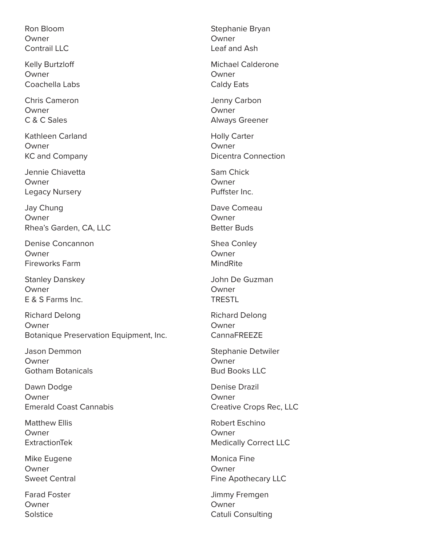Ron Bloom Owner Contrail LLC

Kelly Burtzloff Owner Coachella Labs

Chris Cameron Owner C & C Sales

Kathleen Carland Owner KC and Company

Jennie Chiavetta Owner Legacy Nursery

Jay Chung Owner Rhea's Garden, CA, LLC

Denise Concannon **Owner** Fireworks Farm

Stanley Danskey Owner E & S Farms Inc.

Richard Delong Owner Botanique Preservation Equipment, Inc.

Jason Demmon Owner Gotham Botanicals

Dawn Dodge Owner Emerald Coast Cannabis

Matthew Ellis Owner ExtractionTek

Mike Eugene Owner Sweet Central

Farad Foster Owner **Solstice** 

Stephanie Bryan Owner Leaf and Ash

Michael Calderone Owner Caldy Eats

Jenny Carbon Owner Always Greener

Holly Carter Owner Dicentra Connection

Sam Chick Owner Puffster Inc.

Dave Comeau **Owner** Better Buds

Shea Conley Owner MindRite

John De Guzman Owner TRESTL

Richard Delong Owner CannaFREEZE

Stephanie Detwiler Owner Bud Books LLC

Denise Drazil Owner Creative Crops Rec, LLC

Robert Eschino Owner Medically Correct LLC

Monica Fine Owner Fine Apothecary LLC

Jimmy Fremgen Owner Catuli Consulting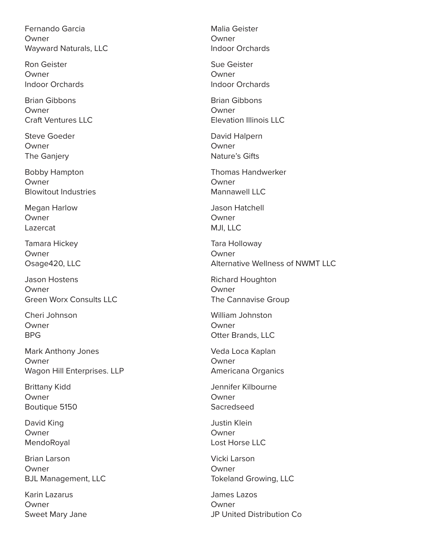Fernando Garcia Owner Wayward Naturals, LLC

Ron Geister Owner Indoor Orchards

Brian Gibbons Owner Craft Ventures LLC

Steve Goeder Owner The Ganjery

Bobby Hampton Owner Blowitout Industries

Megan Harlow Owner Lazercat

Tamara Hickey Owner Osage420, LLC

Jason Hostens Owner Green Worx Consults LLC

Cheri Johnson Owner BPG

Mark Anthony Jones Owner Wagon Hill Enterprises. LLP

Brittany Kidd Owner Boutique 5150

David King Owner MendoRoyal

Brian Larson Owner BJL Management, LLC

Karin Lazarus Owner Sweet Mary Jane Malia Geister Owner Indoor Orchards

Sue Geister Owner Indoor Orchards

Brian Gibbons Owner Elevation Illinois LLC

David Halpern Owner Nature's Gifts

Thomas Handwerker Owner Mannawell IIC

Jason Hatchell **Owner** MJI, LLC

Tara Holloway Owner Alternative Wellness of NWMT LLC

Richard Houghton Owner The Cannavise Group

William Johnston Owner Otter Brands, LLC

Veda Loca Kaplan Owner Americana Organics

Jennifer Kilbourne Owner Sacredseed

Justin Klein Owner Lost Horse LLC

Vicki Larson Owner Tokeland Growing, LLC

James Lazos Owner JP United Distribution Co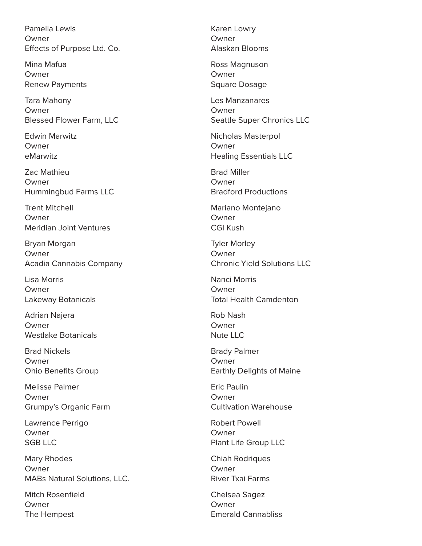Pamella Lewis Owner Effects of Purpose Ltd. Co.

Mina Mafua Owner Renew Payments

Tara Mahony Owner Blessed Flower Farm, LLC

Edwin Marwitz **Owner** eMarwitz

Zac Mathieu Owner Hummingbud Farms LLC

Trent Mitchell Owner Meridian Joint Ventures

Bryan Morgan Owner Acadia Cannabis Company

Lisa Morris Owner Lakeway Botanicals

Adrian Najera Owner Westlake Botanicals

Brad Nickels Owner Ohio Benefits Group

Melissa Palmer Owner Grumpy's Organic Farm

Lawrence Perrigo Owner SGB LLC

Mary Rhodes Owner MABs Natural Solutions, LLC.

Mitch Rosenfield Owner The Hempest

Karen Lowry Owner Alaskan Blooms

Ross Magnuson Owner Square Dosage

Les Manzanares Owner Seattle Super Chronics LLC

Nicholas Masterpol Owner Healing Essentials LLC

Brad Miller Owner Bradford Productions

Mariano Montejano **Owner** CGI Kush

Tyler Morley Owner Chronic Yield Solutions LLC

Nanci Morris Owner Total Health Camdenton

Rob Nash Owner Nute LLC

Brady Palmer Owner Earthly Delights of Maine

Eric Paulin Owner Cultivation Warehouse

Robert Powell Owner Plant Life Group LLC

Chiah Rodriques Owner River Txai Farms

Chelsea Sagez Owner Emerald Cannabliss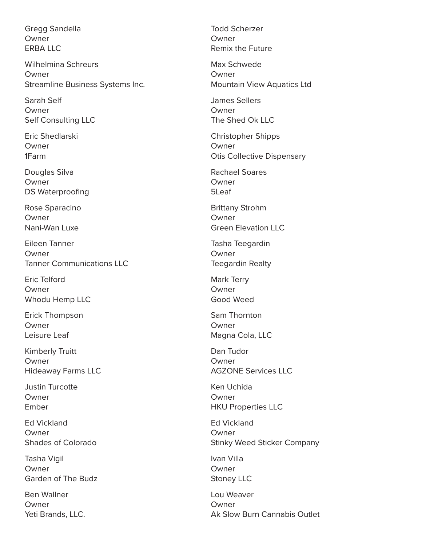Gregg Sandella Owner ERBA LLC

Wilhelmina Schreurs Owner Streamline Business Systems Inc.

Sarah Self Owner Self Consulting LLC

Eric Shedlarski Owner 1Farm

Douglas Silva Owner DS Waterproofing

Rose Sparacino Owner Nani-Wan Luxe

Eileen Tanner **Owner** Tanner Communications LLC

Eric Telford Owner Whodu Hemp LLC

Erick Thompson Owner Leisure Leaf

Kimberly Truitt Owner Hideaway Farms LLC

Justin Turcotte Owner Ember

Ed Vickland Owner Shades of Colorado

Tasha Vigil Owner Garden of The Budz

Ben Wallner Owner Yeti Brands, LLC. Todd Scherzer Owner Remix the Future

Max Schwede **Owner** Mountain View Aquatics Ltd

James Sellers Owner The Shed Ok LLC

Christopher Shipps Owner Otis Collective Dispensary

Rachael Soares Owner 5Leaf

Brittany Strohm **Owner** Green Elevation LLC

Tasha Teegardin Owner Teegardin Realty

Mark Terry Owner Good Weed

Sam Thornton Owner Magna Cola, LLC

Dan Tudor Owner AGZONE Services LLC

Ken Uchida Owner HKU Properties LLC

Ed Vickland Owner Stinky Weed Sticker Company

Ivan Villa Owner Stoney LLC

Lou Weaver Owner Ak Slow Burn Cannabis Outlet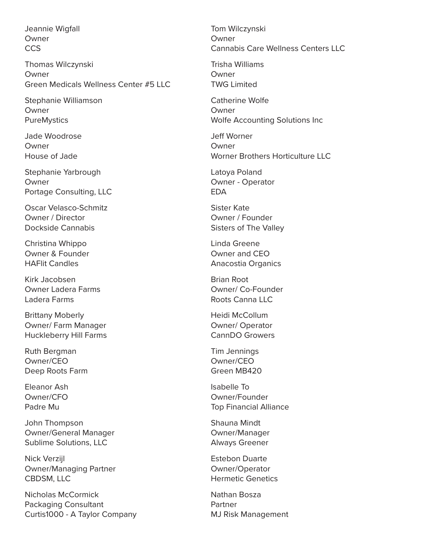Jeannie Wigfall Owner **CCS** 

Thomas Wilczynski Owner Green Medicals Wellness Center #5 LLC

Stephanie Williamson Owner **PureMystics** 

Jade Woodrose **Owner** House of Jade

Stephanie Yarbrough Owner Portage Consulting, LLC

Oscar Velasco-Schmitz Owner / Director Dockside Cannabis

Christina Whippo Owner & Founder HAFlit Candles

Kirk Jacobsen Owner Ladera Farms Ladera Farms

Brittany Moberly Owner/ Farm Manager Huckleberry Hill Farms

Ruth Bergman Owner/CEO Deep Roots Farm

Eleanor Ash Owner/CFO Padre Mu

John Thompson Owner/General Manager Sublime Solutions, LLC

Nick Verzijl Owner/Managing Partner CBDSM, LLC

Nicholas McCormick Packaging Consultant Curtis1000 - A Taylor Company Tom Wilczynski Owner Cannabis Care Wellness Centers LLC

Trisha Williams Owner TWG Limited

Catherine Wolfe Owner Wolfe Accounting Solutions Inc

Jeff Worner **Owner** Worner Brothers Horticulture LLC

Latoya Poland Owner - Operator EDA

Sister Kate Owner / Founder Sisters of The Valley

Linda Greene Owner and CEO Anacostia Organics

Brian Root Owner/ Co-Founder Roots Canna LLC

Heidi McCollum Owner/ Operator CannDO Growers

Tim Jennings Owner/CEO Green MB420

Isabelle To Owner/Founder Top Financial Alliance

Shauna Mindt Owner/Manager Always Greener

Estebon Duarte Owner/Operator Hermetic Genetics

Nathan Bosza Partner MJ Risk Management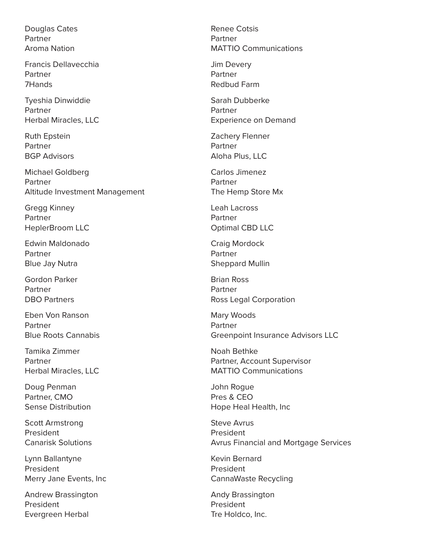Douglas Cates Partner Aroma Nation

Francis Dellavecchia Partner 7Hands

Tyeshia Dinwiddie Partner Herbal Miracles, LLC

Ruth Epstein Partner BGP Advisors

Michael Goldberg Partner Altitude Investment Management

Gregg Kinney Partner HeplerBroom LLC

Edwin Maldonado Partner Blue Jay Nutra

Gordon Parker Partner DBO Partners

Eben Von Ranson Partner Blue Roots Cannabis

Tamika Zimmer Partner Herbal Miracles, LLC

Doug Penman Partner, CMO Sense Distribution

Scott Armstrong President Canarisk Solutions

Lynn Ballantyne President Merry Jane Events, Inc

Andrew Brassington President Evergreen Herbal

Renee Cotsis Partner MATTIO Communications

Jim Devery Partner Redbud Farm

Sarah Dubberke Partner Experience on Demand

Zachery Flenner Partner Aloha Plus, LLC

Carlos Jimenez Partner The Hemp Store Mx

Leah Lacross Partner Optimal CBD LLC

Craig Mordock Partner Sheppard Mullin

Brian Ross Partner Ross Legal Corporation

Mary Woods Partner Greenpoint Insurance Advisors LLC

Noah Bethke Partner, Account Supervisor MATTIO Communications

John Rogue Pres & CEO Hope Heal Health, Inc

Steve Avrus President Avrus Financial and Mortgage Services

Kevin Bernard President CannaWaste Recycling

Andy Brassington President Tre Holdco, Inc.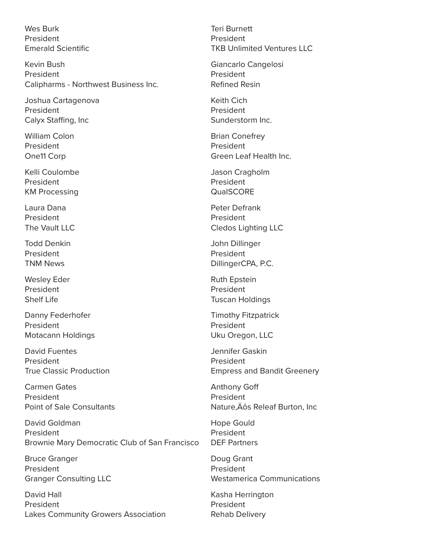Wes Burk President Emerald Scientific

Kevin Bush President Calipharms - Northwest Business Inc.

Joshua Cartagenova President Calyx Staffing, Inc

William Colon President One11 Corp

Kelli Coulombe President KM Processing

Laura Dana President The Vault LLC

Todd Denkin President TNM News

Wesley Eder President Shelf Life

Danny Federhofer President Motacann Holdings

David Fuentes President True Classic Production

Carmen Gates President Point of Sale Consultants

David Goldman President Brownie Mary Democratic Club of San Francisco

Bruce Granger President Granger Consulting LLC

David Hall President Lakes Community Growers Association Teri Burnett President TKB Unlimited Ventures LLC

Giancarlo Cangelosi President Refined Resin

Keith Cich President Sunderstorm Inc.

Brian Conefrey President Green Leaf Health Inc.

Jason Cragholm President QualSCORE

Peter Defrank President Cledos Lighting LLC

John Dillinger President DillingerCPA, P.C.

Ruth Epstein President Tuscan Holdings

Timothy Fitzpatrick President Uku Oregon, LLC

Jennifer Gaskin President Empress and Bandit Greenery

Anthony Goff President Nature, Äôs Releaf Burton, Inc

Hope Gould President DEF Partners

Doug Grant President Westamerica Communications

Kasha Herrington President Rehab Delivery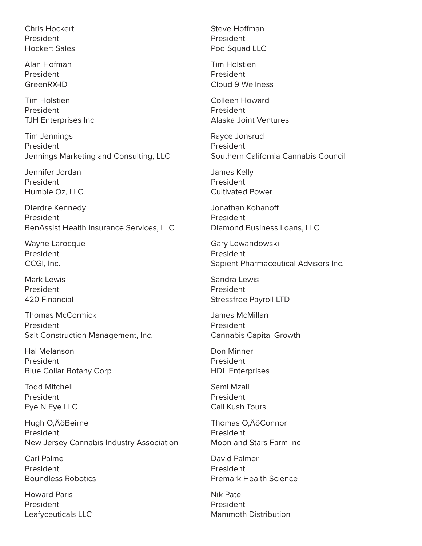Chris Hockert President Hockert Sales

Alan Hofman President GreenRX-ID

Tim Holstien President TJH Enterprises Inc

Tim Jennings President Jennings Marketing and Consulting, LLC

Jennifer Jordan President Humble Oz, LLC.

Dierdre Kennedy President BenAssist Health Insurance Services, LLC

Wayne Larocque President CCGI, Inc.

Mark Lewis President 420 Financial

Thomas McCormick President Salt Construction Management, Inc.

Hal Melanson President Blue Collar Botany Corp

Todd Mitchell President Eye N Eye LLC

Hugh O, Äô Beirne President New Jersey Cannabis Industry Association

Carl Palme President Boundless Robotics

Howard Paris President Leafyceuticals LLC Steve Hoffman President Pod Squad LLC

Tim Holstien President Cloud 9 Wellness

Colleen Howard President Alaska Joint Ventures

Rayce Jonsrud President Southern California Cannabis Council

James Kelly President Cultivated Power

Jonathan Kohanoff President Diamond Business Loans, LLC

Gary Lewandowski President Sapient Pharmaceutical Advisors Inc.

Sandra Lewis President Stressfree Payroll LTD

James McMillan President Cannabis Capital Growth

Don Minner President HDL Enterprises

Sami Mzali President Cali Kush Tours

Thomas O.ÄôConnor President Moon and Stars Farm Inc

David Palmer President Premark Health Science

Nik Patel President Mammoth Distribution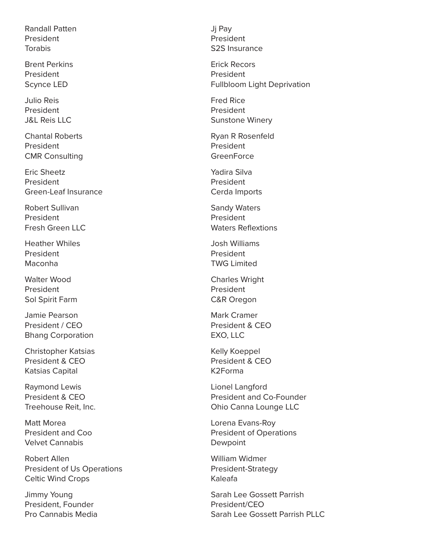Randall Patten President Torabis

Brent Perkins President Scynce LED

Julio Reis President J&L Reis LLC

Chantal Roberts President CMR Consulting

Eric Sheetz President Green-Leaf Insurance

Robert Sullivan President Fresh Green LLC

Heather Whiles President Maconha

Walter Wood President Sol Spirit Farm

Jamie Pearson President / CEO Bhang Corporation

Christopher Katsias President & CEO Katsias Capital

Raymond Lewis President & CEO Treehouse Reit, Inc.

Matt Morea President and Coo Velvet Cannabis

Robert Allen President of Us Operations Celtic Wind Crops

Jimmy Young President, Founder Pro Cannabis Media Jj Pay President S2S Insurance

Erick Recors President Fullbloom Light Deprivation

Fred Rice President Sunstone Winery

Ryan R Rosenfeld President **GreenForce** 

Yadira Silva President Cerda Imports

Sandy Waters President Waters Reflextions

Josh Williams President TWG Limited

Charles Wright President C&R Oregon

Mark Cramer President & CEO EXO, LLC

Kelly Koeppel President & CEO K2Forma

Lionel Langford President and Co-Founder Ohio Canna Lounge LLC

Lorena Evans-Roy President of Operations Dewpoint

William Widmer President-Strategy Kaleafa

Sarah Lee Gossett Parrish President/CEO Sarah Lee Gossett Parrish PLLC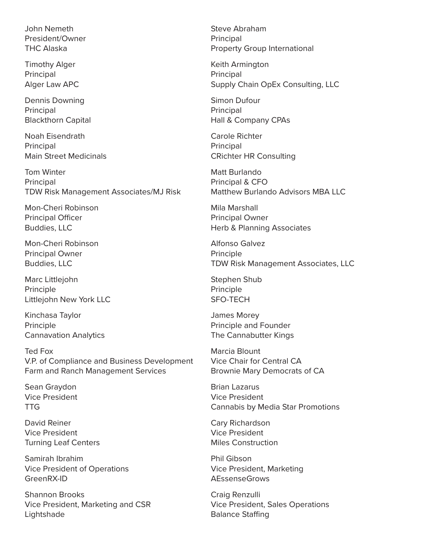John Nemeth President/Owner THC Alaska

Timothy Alger **Principal** Alger Law APC

Dennis Downing Principal Blackthorn Capital

Noah Eisendrath **Principal** Main Street Medicinals

Tom Winter Principal TDW Risk Management Associates/MJ Risk

Mon-Cheri Robinson Principal Officer Buddies, LLC

Mon-Cheri Robinson Principal Owner Buddies, LLC

Marc Littlejohn Principle Littlejohn New York LLC

Kinchasa Taylor Principle Cannavation Analytics

Ted Fox V.P. of Compliance and Business Development Farm and Ranch Management Services

Sean Graydon Vice President TTG

David Reiner Vice President Turning Leaf Centers

Samirah Ibrahim Vice President of Operations GreenRX-ID

Shannon Brooks Vice President, Marketing and CSR Lightshade

Steve Abraham **Principal** Property Group International

Keith Armington **Principal** Supply Chain OpEx Consulting, LLC

Simon Dufour Principal Hall & Company CPAs

Carole Richter **Principal** CRichter HR Consulting

Matt Burlando Principal & CFO Matthew Burlando Advisors MBA LLC

Mila Marshall Principal Owner Herb & Planning Associates

Alfonso Galvez Principle TDW Risk Management Associates, LLC

Stephen Shub Principle SFO-TECH

James Morey Principle and Founder The Cannabutter Kings

Marcia Blount Vice Chair for Central CA Brownie Mary Democrats of CA

Brian Lazarus Vice President Cannabis by Media Star Promotions

Cary Richardson Vice President Miles Construction

Phil Gibson Vice President, Marketing AEssenseGrows

Craig Renzulli Vice President, Sales Operations Balance Staffing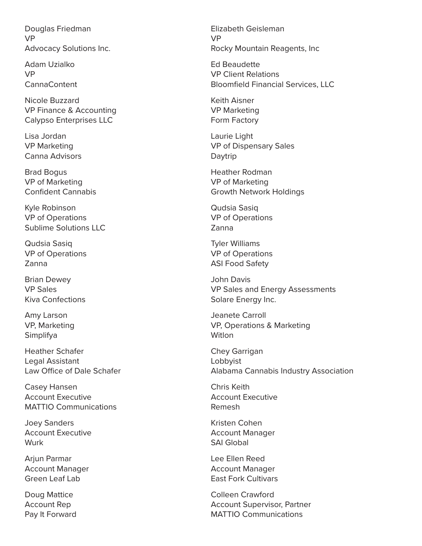Douglas Friedman VP Advocacy Solutions Inc.

Adam Uzialko VP CannaContent

Nicole Buzzard VP Finance & Accounting Calypso Enterprises LLC

Lisa Jordan VP Marketing Canna Advisors

Brad Bogus VP of Marketing Confident Cannabis

Kyle Robinson VP of Operations Sublime Solutions LLC

Qudsia Sasiq VP of Operations Zanna

Brian Dewey VP Sales Kiva Confections

Amy Larson VP, Marketing Simplifya

Heather Schafer Legal Assistant Law Office of Dale Schafer

Casey Hansen Account Executive MATTIO Communications

Joey Sanders Account Executive Wurk

Arjun Parmar Account Manager Green Leaf Lab

Doug Mattice Account Rep Pay It Forward

Elizabeth Geisleman VP Rocky Mountain Reagents, Inc

Ed Beaudette VP Client Relations Bloomfield Financial Services, LLC

Keith Aisner VP Marketing Form Factory

Laurie Light VP of Dispensary Sales Daytrip

Heather Rodman VP of Marketing Growth Network Holdings

Qudsia Sasiq VP of Operations Zanna

Tyler Williams VP of Operations ASI Food Safety

John Davis VP Sales and Energy Assessments Solare Energy Inc.

Jeanete Carroll VP, Operations & Marketing Witlon

Chey Garrigan Lobbyist Alabama Cannabis Industry Association

Chris Keith Account Executive Remesh

Kristen Cohen Account Manager SAI Global

Lee Ellen Reed Account Manager East Fork Cultivars

Colleen Crawford Account Supervisor, Partner MATTIO Communications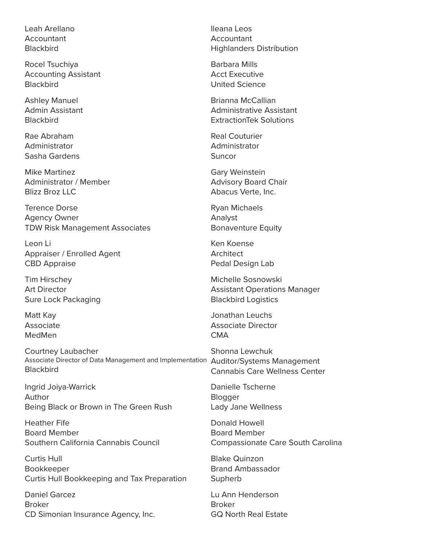Leah Arellano Accountant **Blackbird** 

Rocel Tsuchiya Accounting Assistant **Blackbird** 

Ashley Manuel Admin Assistant **Blackbird** 

Rae Abraham Administrator Sasha Gardens

Mike Martinez Administrator / Member Blizz Broz LLC

Terence Dorse Agency Owner TDW Risk Management Associates

Leon Li Appraiser / Enrolled Agent CBD Appraise

Tim Hirschey Art Director Sure Lock Packaging

Matt Kay Associate MedMen

Courtney Laubacher Associate Director of Data Management and Implementation Auditor/Systems Management **Blackbird** 

Ingrid Joiya-Warrick Author Being Black or Brown in The Green Rush

Heather Fife Board Member Southern California Cannabis Council

Curtis Hull Bookkeeper Curtis Hull Bookkeeping and Tax Preparation

Daniel Garcez Broker CD Simonian Insurance Agency, Inc. Ileana Leos Accountant Highlanders Distribution

Barbara Mills Acct Executive United Science

Brianna McCallian Administrative Assistant ExtractionTek Solutions

Real Couturier Administrator Suncor

Gary Weinstein Advisory Board Chair Abacus Verte, Inc.

Ryan Michaels Analyst Bonaventure Equity

Ken Koense **Architect** Pedal Design Lab

Michelle Sosnowski Assistant Operations Manager Blackbird Logistics

Jonathan Leuchs Associate Director **CMA** 

Shonna Lewchuk Cannabis Care Wellness Center

Danielle Tscherne Blogger Lady Jane Wellness

Donald Howell Board Member Compassionate Care South Carolina

Blake Quinzon Brand Ambassador Supherb

Lu Ann Henderson Broker GQ North Real Estate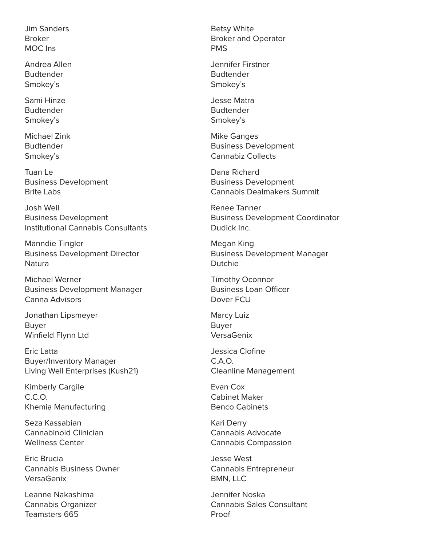Jim Sanders Broker MOC Ins

Andrea Allen Budtender Smokey's

Sami Hinze Budtender Smokey's

Michael Zink Budtender Smokey's

Tuan Le Business Development Brite Labs

Josh Weil Business Development Institutional Cannabis Consultants

Manndie Tingler Business Development Director **Natura** 

Michael Werner Business Development Manager Canna Advisors

Jonathan Lipsmeyer Buyer Winfield Flynn Ltd

Eric Latta Buyer/Inventory Manager Living Well Enterprises (Kush21)

Kimberly Cargile C.C.O. Khemia Manufacturing

Seza Kassabian Cannabinoid Clinician Wellness Center

Eric Brucia Cannabis Business Owner VersaGenix

Leanne Nakashima Cannabis Organizer Teamsters 665

Betsy White Broker and Operator PMS

Jennifer Firstner Budtender Smokey's

Jesse Matra Budtender Smokey's

Mike Ganges Business Development Cannabiz Collects

Dana Richard Business Development Cannabis Dealmakers Summit

Renee Tanner Business Development Coordinator Dudick Inc.

Megan King Business Development Manager Dutchie

Timothy Oconnor Business Loan Officer Dover FCU

Marcy Luiz Buyer VersaGenix

Jessica Clofine C.A.O. Cleanline Management

Evan Cox Cabinet Maker Benco Cabinets

Kari Derry Cannabis Advocate Cannabis Compassion

Jesse West Cannabis Entrepreneur BMN, LLC

Jennifer Noska Cannabis Sales Consultant Proof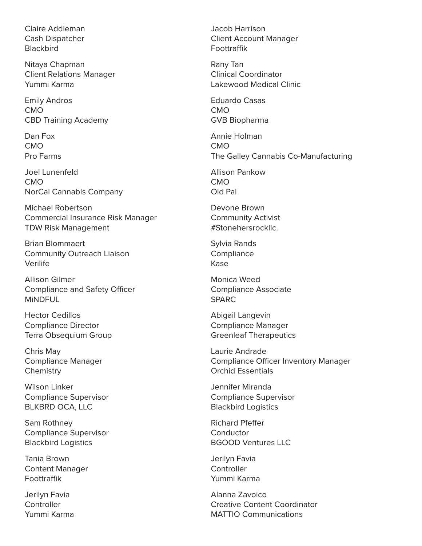Claire Addleman Cash Dispatcher **Blackbird** 

Nitaya Chapman Client Relations Manager Yummi Karma

Emily Andros CMO CBD Training Academy

Dan Fox CMO Pro Farms

Joel Lunenfeld CMO NorCal Cannabis Company

Michael Robertson Commercial Insurance Risk Manager TDW Risk Management

Brian Blommaert Community Outreach Liaison Verilife

Allison Gilmer Compliance and Safety Officer **MINDFUL** 

Hector Cedillos Compliance Director Terra Obsequium Group

Chris May Compliance Manager **Chemistry** 

Wilson Linker Compliance Supervisor BLKBRD OCA, LLC

Sam Rothney Compliance Supervisor Blackbird Logistics

Tania Brown Content Manager Foottraffik

Jerilyn Favia **Controller** Yummi Karma Jacob Harrison Client Account Manager Foottraffik

Rany Tan Clinical Coordinator Lakewood Medical Clinic

Eduardo Casas CMO GVB Biopharma

Annie Holman CMO The Galley Cannabis Co-Manufacturing

Allison Pankow CMO Old Pal

Devone Brown Community Activist #Stonehersrockllc.

Sylvia Rands **Compliance** Kase

Monica Weed Compliance Associate SPARC

Abigail Langevin Compliance Manager Greenleaf Therapeutics

Laurie Andrade Compliance Officer Inventory Manager Orchid Essentials

Jennifer Miranda Compliance Supervisor Blackbird Logistics

Richard Pfeffer **Conductor** BGOOD Ventures LLC

Jerilyn Favia **Controller** Yummi Karma

Alanna Zavoico Creative Content Coordinator MATTIO Communications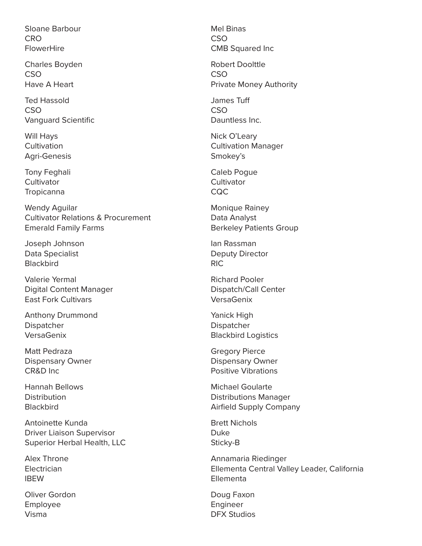Sloane Barbour **CRO FlowerHire** 

Charles Boyden CSO Have A Heart

Ted Hassold **CSO** Vanguard Scientific

Will Hays Cultivation Agri-Genesis

Tony Feghali **Cultivator Tropicanna** 

Wendy Aguilar Cultivator Relations & Procurement Emerald Family Farms

Joseph Johnson Data Specialist **Blackbird** 

Valerie Yermal Digital Content Manager East Fork Cultivars

Anthony Drummond Dispatcher VersaGenix

Matt Pedraza Dispensary Owner CR&D Inc

Hannah Bellows **Distribution Blackbird** 

Antoinette Kunda Driver Liaison Supervisor Superior Herbal Health, LLC

Alex Throne **Electrician** IBEW

Oliver Gordon Employee Visma

Mel Binas **CSO** CMB Squared Inc

Robert Doolttle CSO Private Money Authority

James Tuff **CSO** Dauntless Inc.

Nick O'Leary Cultivation Manager Smokey's

Caleb Pogue **Cultivator** CQC

Monique Rainey Data Analyst Berkeley Patients Group

Ian Rassman Deputy Director RIC

Richard Pooler Dispatch/Call Center VersaGenix

Yanick High Dispatcher Blackbird Logistics

Gregory Pierce Dispensary Owner Positive Vibrations

Michael Goularte Distributions Manager Airfield Supply Company

Brett Nichols Duke Sticky-B

Annamaria Riedinger Ellementa Central Valley Leader, California Ellementa

Doug Faxon **Engineer** DFX Studios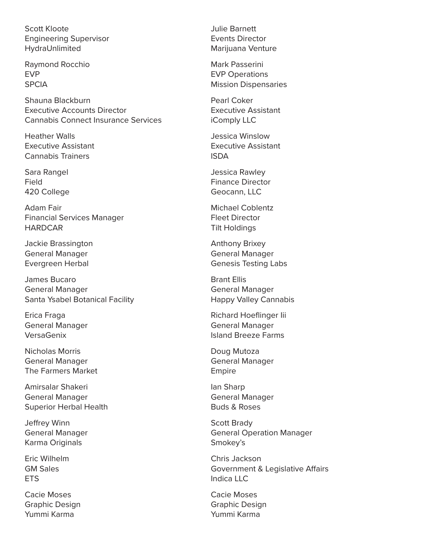Scott Kloote Engineering Supervisor HydraUnlimited

Raymond Rocchio EVP **SPCIA** 

Shauna Blackburn Executive Accounts Director Cannabis Connect Insurance Services

Heather Walls Executive Assistant Cannabis Trainers

Sara Rangel Field 420 College

Adam Fair Financial Services Manager **HARDCAR** 

Jackie Brassington General Manager Evergreen Herbal

James Bucaro General Manager Santa Ysabel Botanical Facility

Erica Fraga General Manager VersaGenix

Nicholas Morris General Manager The Farmers Market

Amirsalar Shakeri General Manager Superior Herbal Health

Jeffrey Winn General Manager Karma Originals

Eric Wilhelm GM Sales **ETS** 

Cacie Moses Graphic Design Yummi Karma

Julie Barnett Events Director Marijuana Venture

Mark Passerini EVP Operations Mission Dispensaries

Pearl Coker Executive Assistant iComply LLC

Jessica Winslow Executive Assistant ISDA

Jessica Rawley Finance Director Geocann, LLC

Michael Coblentz Fleet Director Tilt Holdings

Anthony Brixey General Manager Genesis Testing Labs

Brant Ellis General Manager Happy Valley Cannabis

Richard Hoeflinger Iii General Manager Island Breeze Farms

Doug Mutoza General Manager Empire

Ian Sharp General Manager Buds & Roses

Scott Brady General Operation Manager Smokey's

Chris Jackson Government & Legislative Affairs Indica LLC

Cacie Moses Graphic Design Yummi Karma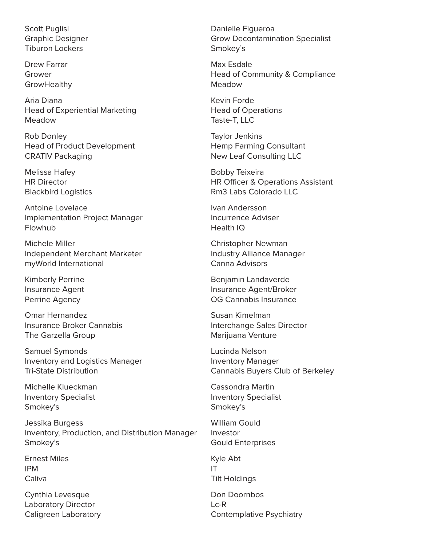Scott Puglisi Graphic Designer Tiburon Lockers

Drew Farrar Grower **GrowHealthy** 

Aria Diana Head of Experiential Marketing Meadow

Rob Donley Head of Product Development CRATIV Packaging

Melissa Hafey HR Director Blackbird Logistics

Antoine Lovelace Implementation Project Manager Flowhub

Michele Miller Independent Merchant Marketer myWorld International

Kimberly Perrine Insurance Agent Perrine Agency

Omar Hernandez Insurance Broker Cannabis The Garzella Group

Samuel Symonds Inventory and Logistics Manager Tri-State Distribution

Michelle Klueckman Inventory Specialist Smokey's

Jessika Burgess Inventory, Production, and Distribution Manager Smokey's

Ernest Miles IPM **Caliva** 

Cynthia Levesque Laboratory Director Caligreen Laboratory Danielle Figueroa Grow Decontamination Specialist Smokey's

Max Esdale Head of Community & Compliance Meadow

Kevin Forde Head of Operations Taste-T, LLC

Taylor Jenkins Hemp Farming Consultant New Leaf Consulting LLC

Bobby Teixeira HR Officer & Operations Assistant Rm3 Labs Colorado LLC

Ivan Andersson Incurrence Adviser Health IQ

Christopher Newman Industry Alliance Manager Canna Advisors

Benjamin Landaverde Insurance Agent/Broker OG Cannabis Insurance

Susan Kimelman Interchange Sales Director Marijuana Venture

Lucinda Nelson Inventory Manager Cannabis Buyers Club of Berkeley

Cassondra Martin Inventory Specialist Smokey's

William Gould Investor Gould Enterprises

Kyle Abt IT Tilt Holdings

Don Doornbos Lc-R Contemplative Psychiatry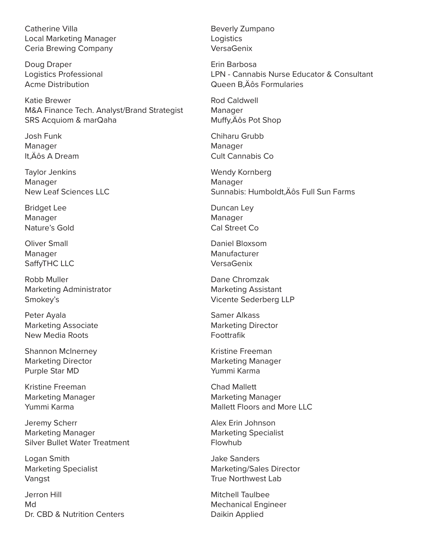Catherine Villa Local Marketing Manager Ceria Brewing Company

Doug Draper Logistics Professional Acme Distribution

Katie Brewer M&A Finance Tech. Analyst/Brand Strategist SRS Acquiom & marQaha

Josh Funk Manager It, Äôs A Dream

Taylor Jenkins Manager New Leaf Sciences LLC

Bridget Lee Manager Nature's Gold

Oliver Small Manager SaffyTHC LLC

Robb Muller Marketing Administrator Smokey's

Peter Ayala Marketing Associate New Media Roots

Shannon McInerney Marketing Director Purple Star MD

Kristine Freeman Marketing Manager Yummi Karma

Jeremy Scherr Marketing Manager Silver Bullet Water Treatment

Logan Smith Marketing Specialist Vangst

Jerron Hill Md Dr. CBD & Nutrition Centers

Beverly Zumpano Logistics VersaGenix

Erin Barbosa LPN - Cannabis Nurse Educator & Consultant Queen B.Äôs Formularies

Rod Caldwell Manager Muffy, Aos Pot Shop

Chiharu Grubb Manager Cult Cannabis Co

Wendy Kornberg Manager Sunnabis: Humboldt. Äôs Full Sun Farms

Duncan Ley Manager Cal Street Co

Daniel Bloxsom Manufacturer VersaGenix

Dane Chromzak Marketing Assistant Vicente Sederberg LLP

Samer Alkass Marketing Director Foottrafik

Kristine Freeman Marketing Manager Yummi Karma

Chad Mallett Marketing Manager Mallett Floors and More LLC

Alex Erin Johnson Marketing Specialist Flowhub

Jake Sanders Marketing/Sales Director True Northwest Lab

Mitchell Taulbee Mechanical Engineer Daikin Applied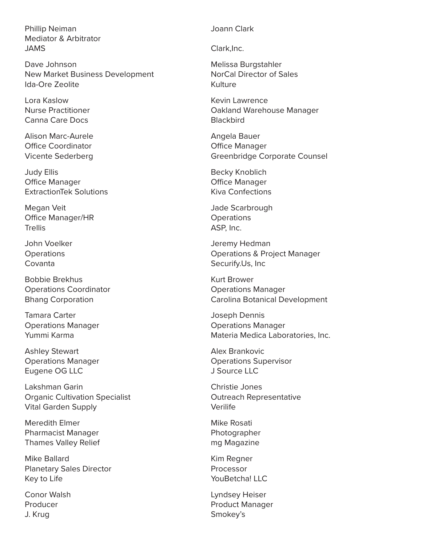Phillip Neiman Mediator & Arbitrator JAMS

Dave Johnson New Market Business Development Ida-Ore Zeolite

Lora Kaslow Nurse Practitioner Canna Care Docs

Alison Marc-Aurele Office Coordinator Vicente Sederberg

Judy Ellis Office Manager ExtractionTek Solutions

Megan Veit Office Manager/HR **Trellis** 

John Voelker **Operations** Covanta

Bobbie Brekhus Operations Coordinator Bhang Corporation

Tamara Carter Operations Manager Yummi Karma

Ashley Stewart Operations Manager Eugene OG LLC

Lakshman Garin Organic Cultivation Specialist Vital Garden Supply

Meredith Elmer Pharmacist Manager Thames Valley Relief

Mike Ballard Planetary Sales Director Key to Life

Conor Walsh Producer J. Krug

## Joann Clark

Clark,Inc.

Melissa Burgstahler NorCal Director of Sales Kulture

Kevin Lawrence Oakland Warehouse Manager **Blackbird** 

Angela Bauer Office Manager Greenbridge Corporate Counsel

Becky Knoblich Office Manager Kiva Confections

Jade Scarbrough **Operations** ASP, Inc.

Jeremy Hedman Operations & Project Manager Securify.Us, Inc

Kurt Brower Operations Manager Carolina Botanical Development

Joseph Dennis Operations Manager Materia Medica Laboratories, Inc.

Alex Brankovic Operations Supervisor J Source LLC

Christie Jones Outreach Representative Verilife

Mike Rosati Photographer mg Magazine

Kim Regner Processor YouBetcha! LLC

Lyndsey Heiser Product Manager Smokey's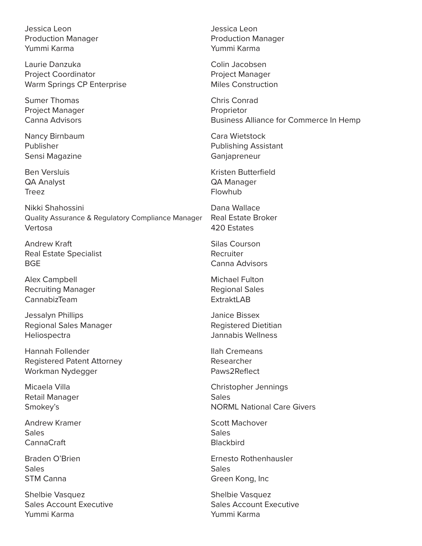Jessica Leon Production Manager Yummi Karma

Laurie Danzuka Project Coordinator Warm Springs CP Enterprise

Sumer Thomas Project Manager Canna Advisors

Nancy Birnbaum Publisher Sensi Magazine

Ben Versluis QA Analyst Treez

Nikki Shahossini Quality Assurance & Regulatory Compliance Manager Vertosa

Andrew Kraft Real Estate Specialist **BGE** 

Alex Campbell Recruiting Manager CannabizTeam

Jessalyn Phillips Regional Sales Manager **Heliospectra** 

Hannah Follender Registered Patent Attorney Workman Nydegger

Micaela Villa Retail Manager Smokey's

Andrew Kramer Sales CannaCraft

Braden O'Brien **Sales** STM Canna

Shelbie Vasquez Sales Account Executive Yummi Karma

Jessica Leon Production Manager Yummi Karma

Colin Jacobsen Project Manager Miles Construction

Chris Conrad Proprietor Business Alliance for Commerce In Hemp

Cara Wietstock Publishing Assistant Ganjapreneur

Kristen Butterfield QA Manager Flowhub

Dana Wallace Real Estate Broker 420 Estates

Silas Courson Recruiter Canna Advisors

Michael Fulton Regional Sales **ExtraktLAB** 

Janice Bissex Registered Dietitian Jannabis Wellness

Ilah Cremeans Researcher Paws2Reflect

Christopher Jennings **Sales** NORML National Care Givers

Scott Machover Sales **Blackbird** 

Ernesto Rothenhausler **Sales** Green Kong, Inc

Shelbie Vasquez Sales Account Executive Yummi Karma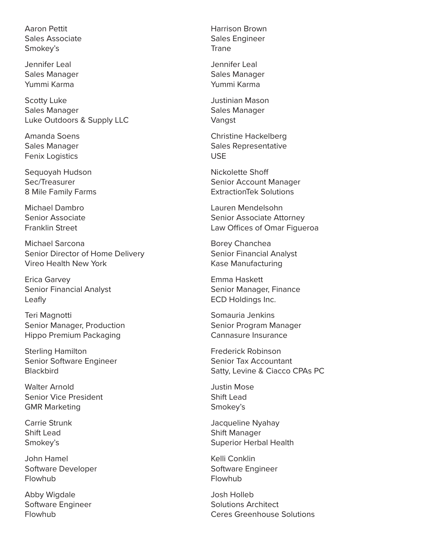Aaron Pettit Sales Associate Smokey's

Jennifer Leal Sales Manager Yummi Karma

Scotty Luke Sales Manager Luke Outdoors & Supply LLC

Amanda Soens Sales Manager Fenix Logistics

Sequoyah Hudson Sec/Treasurer 8 Mile Family Farms

Michael Dambro Senior Associate Franklin Street

Michael Sarcona Senior Director of Home Delivery Vireo Health New York

Erica Garvey Senior Financial Analyst Leafly

Teri Magnotti Senior Manager, Production Hippo Premium Packaging

Sterling Hamilton Senior Software Engineer **Blackbird** 

Walter Arnold Senior Vice President GMR Marketing

Carrie Strunk Shift Lead Smokey's

John Hamel Software Developer Flowhub

Abby Wigdale Software Engineer Flowhub

Harrison Brown Sales Engineer Trane

Jennifer Leal Sales Manager Yummi Karma

Justinian Mason Sales Manager Vangst

Christine Hackelberg Sales Representative USE

Nickolette Shoff Senior Account Manager ExtractionTek Solutions

Lauren Mendelsohn Senior Associate Attorney Law Offices of Omar Figueroa

Borey Chanchea Senior Financial Analyst Kase Manufacturing

Emma Haskett Senior Manager, Finance ECD Holdings Inc.

Somauria Jenkins Senior Program Manager Cannasure Insurance

Frederick Robinson Senior Tax Accountant Satty, Levine & Ciacco CPAs PC

Justin Mose Shift Lead Smokey's

Jacqueline Nyahay Shift Manager Superior Herbal Health

Kelli Conklin Software Engineer Flowhub

Josh Holleb Solutions Architect Ceres Greenhouse Solutions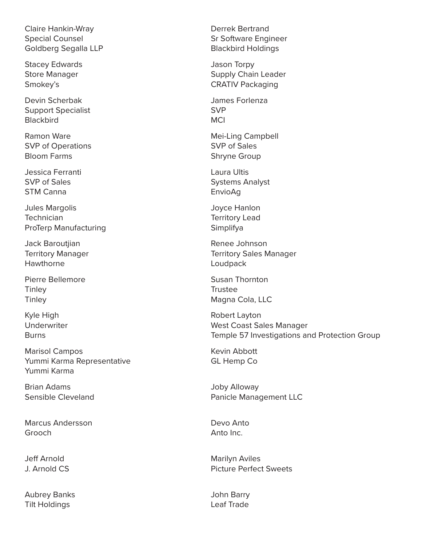Claire Hankin-Wray Special Counsel Goldberg Segalla LLP

Stacey Edwards Store Manager Smokey's

Devin Scherbak Support Specialist **Blackbird** 

Ramon Ware SVP of Operations Bloom Farms

Jessica Ferranti SVP of Sales STM Canna

Jules Margolis **Technician** ProTerp Manufacturing

Jack Baroutjian Territory Manager Hawthorne

Pierre Bellemore **Tinley Tinley** 

Kyle High Underwriter **Burns** 

Marisol Campos Yummi Karma Representative Yummi Karma

Brian Adams Sensible Cleveland

Marcus Andersson Grooch

Jeff Arnold J. Arnold CS

Aubrey Banks Tilt Holdings

Derrek Bertrand Sr Software Engineer Blackbird Holdings

Jason Torpy Supply Chain Leader CRATIV Packaging

James Forlenza SVP **MCI** 

Mei-Ling Campbell SVP of Sales Shryne Group

Laura Ultis Systems Analyst EnvioAg

Joyce Hanlon Territory Lead Simplifya

Renee Johnson Territory Sales Manager Loudpack

Susan Thornton **Trustee** Magna Cola, LLC

Robert Layton West Coast Sales Manager Temple 57 Investigations and Protection Group

Kevin Abbott GL Hemp Co

Joby Alloway Panicle Management LLC

Devo Anto Anto Inc.

Marilyn Aviles Picture Perfect Sweets

John Barry Leaf Trade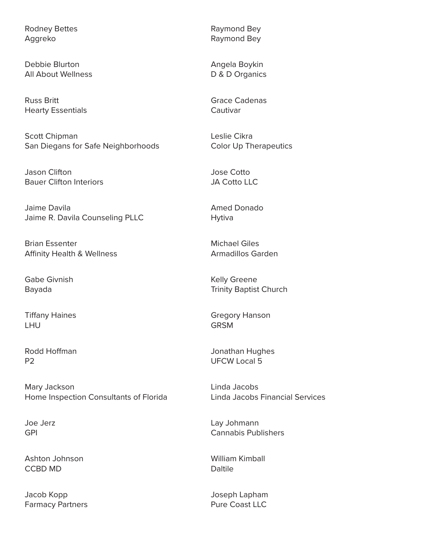Rodney Bettes Aggreko

Debbie Blurton All About Wellness

Russ Britt Hearty Essentials

Scott Chipman San Diegans for Safe Neighborhoods

Jason Clifton Bauer Clifton Interiors

Jaime Davila Jaime R. Davila Counseling PLLC

Brian Essenter Affinity Health & Wellness

Gabe Givnish Bayada

Tiffany Haines LHU

Rodd Hoffman P2

Mary Jackson Home Inspection Consultants of Florida

Joe Jerz GPI

Ashton Johnson CCBD MD

Jacob Kopp Farmacy Partners Raymond Bey Raymond Bey

Angela Boykin D & D Organics

Grace Cadenas Cautivar

Leslie Cikra Color Up Therapeutics

Jose Cotto JA Cotto LLC

Amed Donado Hytiva

Michael Giles Armadillos Garden

Kelly Greene Trinity Baptist Church

Gregory Hanson **GRSM** 

Jonathan Hughes UFCW Local 5

Linda Jacobs Linda Jacobs Financial Services

Lay Johmann Cannabis Publishers

William Kimball **Daltile** 

Joseph Lapham Pure Coast LLC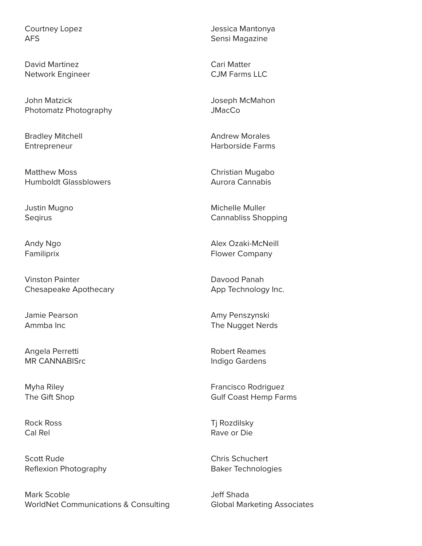Courtney Lopez AFS

David Martinez Network Engineer

John Matzick Photomatz Photography

Bradley Mitchell Entrepreneur

Matthew Moss Humboldt Glassblowers

Justin Mugno **Segirus** 

Andy Ngo Familiprix

Vinston Painter Chesapeake Apothecary

Jamie Pearson Ammba Inc

Angela Perretti MR CANNABISrc

Myha Riley The Gift Shop

Rock Ross Cal Rel

Scott Rude Reflexion Photography

Mark Scoble WorldNet Communications & Consulting

Jessica Mantonya Sensi Magazine

Cari Matter CJM Farms LLC

Joseph McMahon **JMacCo** 

Andrew Morales Harborside Farms

Christian Mugabo Aurora Cannabis

Michelle Muller Cannabliss Shopping

Alex Ozaki-McNeill Flower Company

Davood Panah App Technology Inc.

Amy Penszynski The Nugget Nerds

Robert Reames Indigo Gardens

Francisco Rodriguez Gulf Coast Hemp Farms

Tj Rozdilsky Rave or Die

Chris Schuchert Baker Technologies

Jeff Shada Global Marketing Associates